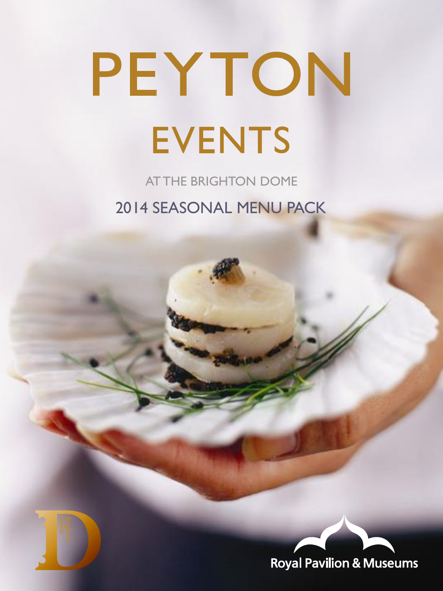AT THE BRIGHTON DOME 2014 SEASONAL MENU PACK



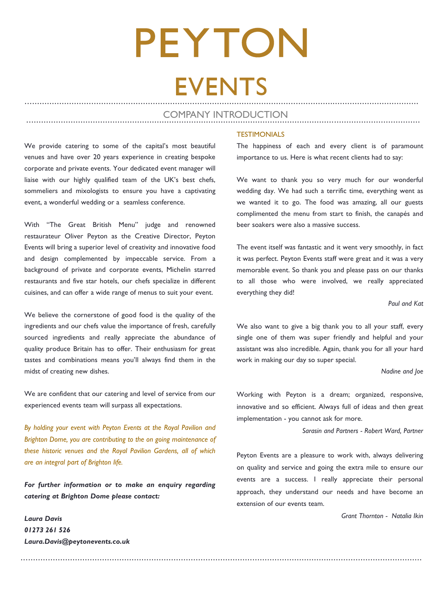### PEYTON **EVENTS** ................................................................................................................................................................

### COMPANY INTRODUCTION ................................................................................................................................................................

...................................................................................................................................................................

We provide catering to some of the capital's most beautiful venues and have over 20 years experience in creating bespoke corporate and private events. Your dedicated event manager will liaise with our highly qualified team of the UK's best chefs, sommeliers and mixologists to ensure you have a captivating event, a wonderful wedding or a seamless conference.

With "The Great British Menu" judge and renowned restaurateur Oliver Peyton as the Creative Director, Peyton Events will bring a superior level of creativity and innovative food and design complemented by impeccable service. From a background of private and corporate events, Michelin starred restaurants and five star hotels, our chefs specialize in different cuisines, and can offer a wide range of menus to suit your event.

We believe the cornerstone of good food is the quality of the ingredients and our chefs value the importance of fresh, carefully sourced ingredients and really appreciate the abundance of quality produce Britain has to offer. Their enthusiasm for great tastes and combinations means you'll always find them in the midst of creating new dishes.

We are confident that our catering and level of service from our experienced events team will surpass all expectations.

*By holding your event with Peyton Events at the Royal Pavilion and Brighton Dome, you are contributing to the on going maintenance of these historic venues and the Royal Pavilion Gardens, all of which are an integral part of Brighton life.*

*For further information or to make an enquiry regarding catering at Brighton Dome please contact:*

*Laura Davis 01273 261 526 Laura.Davis@peytonevents.co.uk*

### **TESTIMONIALS**

The happiness of each and every client is of paramount importance to us. Here is what recent clients had to say:

We want to thank you so very much for our wonderful wedding day. We had such a terrific time, everything went as we wanted it to go. The food was amazing, all our guests complimented the menu from start to finish, the canapés and beer soakers were also a massive success.

The event itself was fantastic and it went very smoothly, in fact it was perfect. Peyton Events staff were great and it was a very memorable event. So thank you and please pass on our thanks to all those who were involved, we really appreciated everything they did!

*Paul and Kat*

We also want to give a big thank you to all your staff, every single one of them was super friendly and helpful and your assistant was also incredible. Again, thank you for all your hard work in making our day so super special.

### *Nadine and Joe*

Working with Peyton is a dream; organized, responsive, innovative and so efficient. Always full of ideas and then great implementation - you cannot ask for more.

 *Sarasin and Partners - Robert Ward, Partner* 

Peyton Events are a pleasure to work with, always delivering on quality and service and going the extra mile to ensure our events are a success. I really appreciate their personal approach, they understand our needs and have become an extension of our events team.

 *Grant Thornton - Natalia Ikin*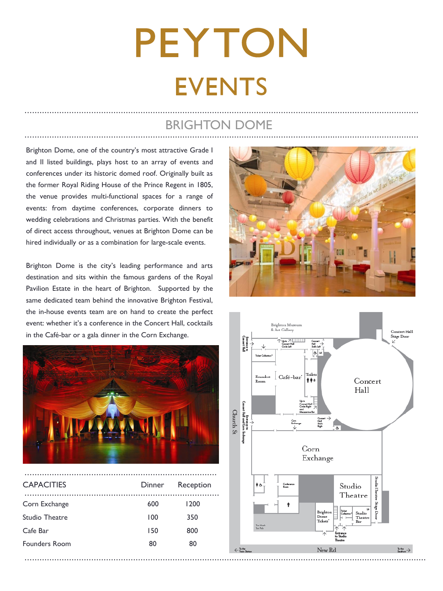### BRIGHTON DOME ................................................................................................................................................................

Brighton Dome, one of the country's most attractive Grade I and II listed buildings, plays host to an array of events and conferences under its historic domed roof. Originally built as the former Royal Riding House of the Prince Regent in 1805, the venue provides multi-functional spaces for a range of events: from daytime conferences, corporate dinners to wedding celebrations and Christmas parties. With the benefit of direct access throughout, venues at Brighton Dome can be hired individually or as a combination for large-scale events.

Brighton Dome is the city's leading performance and arts destination and sits within the famous gardens of the Royal Pavilion Estate in the heart of Brighton. Supported by the same dedicated team behind the innovative Brighton Festival, the in-house events team are on hand to create the perfect event: whether it's a conference in the Concert Hall, cocktails in the Café-bar or a gala dinner in the Corn Exchange.



| <b>CAPACITIES</b> | Dinner | Reception |
|-------------------|--------|-----------|
| Corn Exchange     | 600    | 1200      |
| Studio Theatre    | 100    | 350       |
| Cafe Bar          | 150    | 800       |
| Founders Room     | 80     | 80        |
|                   |        |           |



................................................................................................................................................................

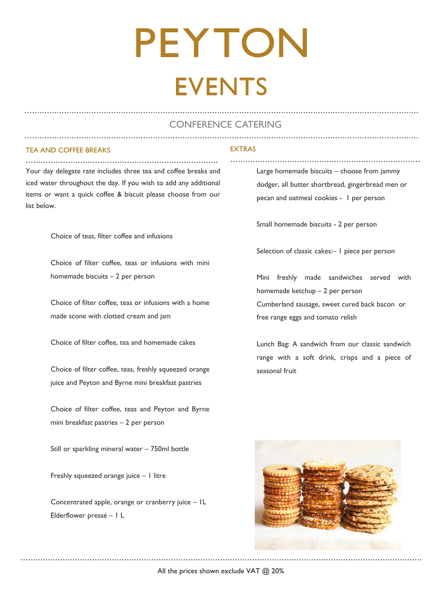### ................................................................................................................................................................ ................................................................................................................................................................ CONFERENCE CATERING

### TEA AND COFFEE BREAKS

.............................................................................. Your day delegate rate includes three tea and coffee breaks and iced water throughout the day. If you wish to add any additional items or want a quick coffee & biscuit please choose from our list below.

Choice of teas, filter coffee and infusions

Choice of filter coffee, teas or infusions with mini homemade biscuits – 2 per person

Choice of filter coffee, teas or infusions with a home made scone with clotted cream and jam

Choice of filter coffee, tea and homemade cakes

Choice of filter coffee, teas, freshly squeezed orange juice and Peyton and Byrne mini breakfast pastries

Choice of filter coffee, teas and Peyton and Byrne mini breakfast pastries – 2 per person

Still or sparkling mineral water – 750ml bottle

Freshly squeezed orange juice – 1 litre

Concentrated apple, orange or cranberry juice – 1L Elderflower pressé – 1 L

### **EXTRAS**

Large homemade biscuits – choose from jammy dodger, all butter shortbread, gingerbread men or pecan and oatmeal cookies - 1 per person

.............................................................................

Small homemade biscuits - 2 per person

Selection of classic cakes:– 1 piece per person

Mini freshly made sandwiches served with homemade ketchup – 2 per person Cumberland sausage, sweet cured back bacon or free range eggs and tomato relish

Lunch Bag: A sandwich from our classic sandwich range with a soft drink, crisps and a piece of seasonal fruit



All the prices shown exclude VAT @ 20%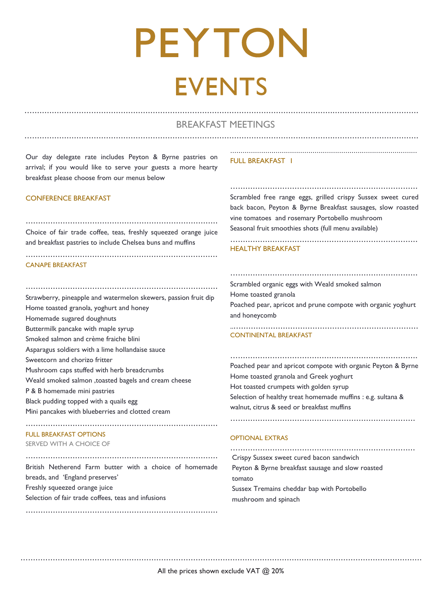### ................................................................................................................................................................ ................................................................................................................................................................ BREAKFAST MEETINGS

Our day delegate rate includes Peyton & Byrne pastries on arrival; if you would like to serve your guests a more hearty breakfast please choose from our menus below

### CONFERENCE BREAKFAST

.............................................................................. Choice of fair trade coffee, teas, freshly squeezed orange juice and breakfast pastries to include Chelsea buns and muffins

..............................................................................

### CANAPE BREAKFAST

.............................................................................. Strawberry, pineapple and watermelon skewers, passion fruit dip Home toasted granola, yoghurt and honey Homemade sugared doughnuts Buttermilk pancake with maple syrup Smoked salmon and crème fraiche blini Asparagus soldiers with a lime hollandaise sauce Sweetcorn and chorizo fritter Mushroom caps stuffed with herb breadcrumbs Weald smoked salmon ,toasted bagels and cream cheese P & B homemade mini pastries Black pudding topped with a quails egg Mini pancakes with blueberries and clotted cream

### FULL BREAKFAST OPTIONS

SERVED WITH A CHOICE OF

.............................................................................. British Netherend Farm butter with a choice of homemade breads, and 'England preserves' Freshly squeezed orange juice Selection of fair trade coffees, teas and infusions

..............................................................................

..............................................................................

### FULL BREAKFAST |

............................................................................ Scrambled free range eggs, grilled crispy Sussex sweet cured back bacon, Peyton & Byrne Breakfast sausages, slow roasted vine tomatoes and rosemary Portobello mushroom Seasonal fruit smoothies shots (full menu available)

............................................................................

### HEALTHY BREAKFAST

............................................................................

Scrambled organic eggs with Weald smoked salmon Home toasted granola Poached pear, apricot and prune compote with organic yoghurt and honeycomb

.............................................................................

### CONTINENTAL BREAKFAST

............................................................................ Poached pear and apricot compote with organic Peyton & Byrne Home toasted granola and Greek yoghurt Hot toasted crumpets with golden syrup Selection of healthy treat homemade muffins : e.g. sultana & walnut, citrus & seed or breakfast muffins

...........................................................................

### OPTIONAL EXTRAS

........................................................................... Crispy Sussex sweet cured bacon sandwich Peyton & Byrne breakfast sausage and slow roasted tomato Sussex Tremains cheddar bap with Portobello mushroom and spinach

All the prices shown exclude VAT @ 20% ...................................................................................................................................................................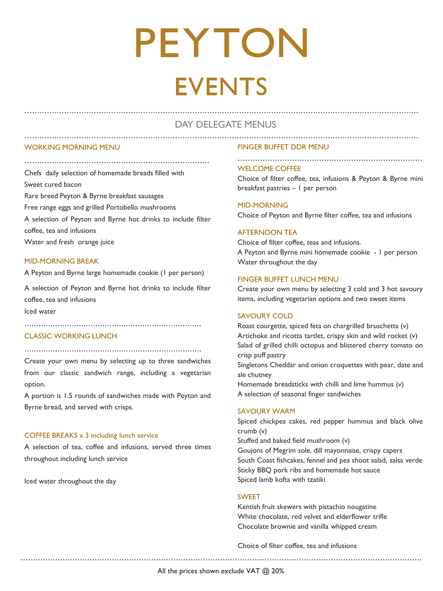### ................................................................................................................................................................ DAY DELEGATE MENUS ................................................................................................................................................................

### WORKING MORNING MENU

...........................................................................

Chefs daily selection of homemade breads filled with

Sweet cured bacon

Rare breed Peyton & Byrne breakfast sausages

Free range eggs and grilled Portobello mushrooms

A selection of Peyton and Byrne hot drinks to include filter

coffee, tea and infusions

Water and fresh orange juice

### MID-MORNING BREAK

A Peyton and Byrne large homemade cookie (1 per person)

A selection of Peyton and Byrne hot drinks to include filter coffee, tea and infusions

Iced water

### CLASSIC WORKING LUNCH

...........................................................................

...........................................................................

Create your own menu by selecting up to three sandwiches from our classic sandwich range, including a vegetarian option.

A portion is 1.5 rounds of sandwiches made with Peyton and Byrne bread, and served with crisps.

### COFFEE BREAKS x 3 including lunch service

A selection of tea, coffee and infusions, served three times throughout including lunch service

Iced water throughout the day

### FINGER BUFFET DDR MENU

### WELCOME COFFEE

Choice of filter coffee, tea, infusions & Peyton & Byrne mini breakfast pastries – 1 per person

MID-MORNING Choice of Peyton and Byrne filter coffee, tea and infusions

### AFTERNOON TEA

Choice of filter coffee, teas and infusions. A Peyton and Byrne mini homemade cookie - 1 per person Water throughout the day

### FINGER BUFFET LUNCH MENU

Create your own menu by selecting 3 cold and 3 hot savoury items, including vegetarian options and two sweet items

### SAVOURY COLD

Roast courgette, spiced feta on chargrilled bruschetta (v) Artichoke and ricotta tartlet, crispy skin and wild rocket (v) Salad of grilled chilli octopus and blistered cherry tomato on crisp puff pastry Singletons Cheddar and onion croquettes with pear, date and ale chutney

Homemade breadsticks with chilli and lime hummus (v) A selection of seasonal finger sandwiches

### SAVOURY WARM

Spiced chickpea cakes, red pepper hummus and black olive crumb (v) Stuffed and baked field mushroom (v) Goujons of Megrim sole, dill mayonnaise, crispy capers South Coast fishcakes, fennel and pea shoot salad, salsa verde Sticky BBQ pork ribs and homemade hot sauce Spiced lamb kofta with tzatiki

...................................................................................................................................................................

### SWEET

Kentish fruit skewers with pistachio nougatine White chocolate, red velvet and elderflower trifle Chocolate brownie and vanilla whipped cream

Choice of filter coffee, tea and infusions

All the prices shown exclude VAT @ 20%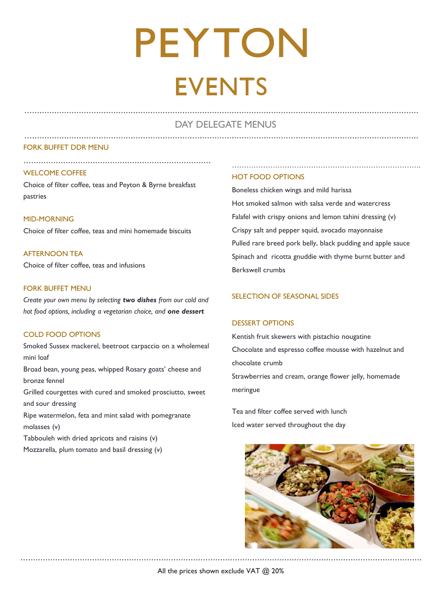### ................................................................................................................................................................ DAY DELEGATE MENUS ................................................................................................................................................................

### FORK BUFFET DDR MENU

### WELCOME COFFEE

Choice of filter coffee, teas and Peyton & Byrne breakfast pastries

............................................................................

### MID-MORNING

Choice of filter coffee, teas and mini homemade biscuits

AFTERNOON TEA Choice of filter coffee, teas and infusions

### FORK BUFFET MENU

*Create your own menu by selecting two dishes from our cold and hot food options, including a vegetarian choice, and one dessert*

### COLD FOOD OPTIONS

Smoked Sussex mackerel, beetroot carpaccio on a wholemeal mini loaf

Broad bean, young peas, whipped Rosary goats' cheese and bronze fennel

Grilled courgettes with cured and smoked prosciutto, sweet and sour dressing

Ripe watermelon, feta and mint salad with pomegranate molasses (v)

Tabbouleh with dried apricots and raisins (v)

Mozzarella, plum tomato and basil dressing (v)

### HOT FOOD OPTIONS

Boneless chicken wings and mild harissa Hot smoked salmon with salsa verde and watercress Falafel with crispy onions and lemon tahini dressing (v) Crispy salt and pepper squid, avocado mayonnaise Pulled rare breed pork belly, black pudding and apple sauce Spinach and ricotta gnuddie with thyme burnt butter and Berkswell crumbs

### SELECTION OF SEASONAL SIDES

### DESSERT OPTIONS

Kentish fruit skewers with pistachio nougatine Chocolate and espresso coffee mousse with hazelnut and chocolate crumb Strawberries and cream, orange flower jelly, homemade meringue

Tea and filter coffee served with lunch Iced water served throughout the day

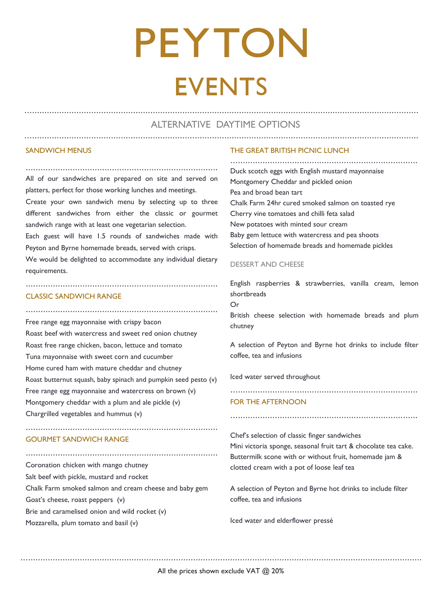### ALTERNATIVE DAYTIME OPTIONS ................................................................................................................................................................

................................................................................................................................................................

### SANDWICH MENUS

.............................................................................. All of our sandwiches are prepared on site and served on platters, perfect for those working lunches and meetings.

Create your own sandwich menu by selecting up to three different sandwiches from either the classic or gourmet sandwich range with at least one vegetarian selection.

Each guest will have 1.5 rounds of sandwiches made with Peyton and Byrne homemade breads, served with crisps.

We would be delighted to accommodate any individual dietary requirements.

..............................................................................

### CLASSIC SANDWICH RANGE

..............................................................................

Free range egg mayonnaise with crispy bacon Roast beef with watercress and sweet red onion chutney Roast free range chicken, bacon, lettuce and tomato Tuna mayonnaise with sweet corn and cucumber Home cured ham with mature cheddar and chutney Roast butternut squash, baby spinach and pumpkin seed pesto (v) Free range egg mayonnaise and watercress on brown (v) Montgomery cheddar with a plum and ale pickle (v) Chargrilled vegetables and hummus (v)

..............................................................................

..............................................................................

### GOURMET SANDWICH RANGE

Coronation chicken with mango chutney Salt beef with pickle, mustard and rocket Chalk Farm smoked salmon and cream cheese and baby gem Goat's cheese, roast peppers (v) Brie and caramelised onion and wild rocket (v) Mozzarella, plum tomato and basil (v)

### THE GREAT BRITISH PICNIC LUNCH

............................................................................ Duck scotch eggs with English mustard mayonnaise Montgomery Cheddar and pickled onion Pea and broad bean tart Chalk Farm 24hr cured smoked salmon on toasted rye Cherry vine tomatoes and chilli feta salad New potatoes with minted sour cream Baby gem lettuce with watercress and pea shoots Selection of homemade breads and homemade pickles

### DESSERT AND CHEESE

English raspberries & strawberries, vanilla cream, lemon shortbreads

Or

British cheese selection with homemade breads and plum chutney

A selection of Peyton and Byrne hot drinks to include filter coffee, tea and infusions

Iced water served throughout

............................................................................

### FOR THE AFTERNOON

Chef's selection of classic finger sandwiches Mini victoria sponge, seasonal fruit tart & chocolate tea cake. Buttermilk scone with or without fruit, homemade jam & clotted cream with a pot of loose leaf tea

............................................................................

A selection of Peyton and Byrne hot drinks to include filter coffee, tea and infusions

Iced water and elderflower pressé

All the prices shown exclude VAT @ 20% ...................................................................................................................................................................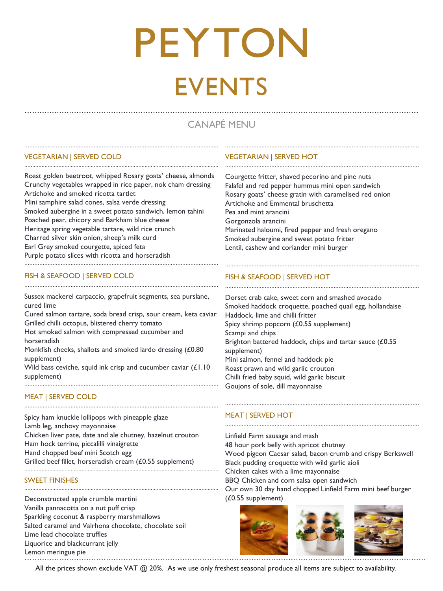### CANAPÉ MENU

### VEGETARIAN | SERVED COLD

Roast golden beetroot, whipped Rosary goats' cheese, almonds Crunchy vegetables wrapped in rice paper, nok cham dressing Artichoke and smoked ricotta tartlet Mini samphire salad cones, salsa verde dressing Smoked aubergine in a sweet potato sandwich, lemon tahini Poached pear, chicory and Barkham blue cheese Heritage spring vegetable tartare, wild rice crunch Charred silver skin onion, sheep's milk curd

......................................................................................................................

..............................................................................................................................

Earl Grey smoked courgette, spiced feta

Purple potato slices with ricotta and horseradish

### FISH & SEAFOOD I SERVED COLD

Sussex mackerel carpaccio, grapefruit segments, sea purslane, cured lime

......................................................................................................................

......................................................................................................................

Cured salmon tartare, soda bread crisp, sour cream, keta caviar Grilled chilli octopus, blistered cherry tomato Hot smoked salmon with compressed cucumber and horseradish Monkfish cheeks, shallots and smoked lardo dressing (£0.80)

supplement)

Wild bass ceviche, squid ink crisp and cucumber caviar (£1.10 supplement) ......................................................................................................................

......................................................................................................................

..............................................................................................................................

### MEAT | SERVED COLD

Spicy ham knuckle lollipops with pineapple glaze Lamb leg, anchovy mayonnaise Chicken liver pate, date and ale chutney, hazelnut crouton Ham hock terrine, piccalilli vinaigrette Hand chopped beef mini Scotch egg Grilled beef fillet, horseradish cream (£0.55 supplement)

### SWEET FINISHES

Deconstructed apple crumble martini Vanilla pannacotta on a nut puff crisp Sparkling coconut & raspberry marshmallows Salted caramel and Valrhona chocolate, chocolate soil Lime lead chocolate truffles Liquorice and blackcurrant jelly Lemon meringue pie

### VEGETARIAN | SERVED HOT

Courgette fritter, shaved pecorino and pine nuts Falafel and red pepper hummus mini open sandwich Rosary goats' cheese gratin with caramelised red onion Artichoke and Emmental bruschetta Pea and mint arancini Gorgonzola arancini Marinated haloumi, fired pepper and fresh oregano Smoked aubergine and sweet potato fritter Lentil, cashew and coriander mini burger

......................................................................................................................

......................................................................................................................

................................................................................................................................................................

......................................................................................................................

### FISH & SEAFOOD | SERVED HOT

Dorset crab cake, sweet corn and smashed avocado Smoked haddock croquette, poached quail egg, hollandaise Haddock, lime and chilli fritter Spicy shrimp popcorn (£0.55 supplement) Scampi and chips Brighton battered haddock, chips and tartar sauce (£0.55 supplement) Mini salmon, fennel and haddock pie Roast prawn and wild garlic crouton Chilli fried baby squid, wild garlic biscuit Goujons of sole, dill mayonnaise

### MEAT | SERVED HOT

Linfield Farm sausage and mash 48 hour pork belly with apricot chutney Wood pigeon Caesar salad, bacon crumb and crispy Berkswell Black pudding croquette with wild garlic aioli Chicken cakes with a lime mayonnaise BBQ Chicken and corn salsa open sandwich Our own 30 day hand chopped Linfield Farm mini beef burger (£0.55 supplement)

......................................................................................................................

......................................................................................................................



All the prices shown exclude VAT @ 20%. As we use only freshest seasonal produce all items are subject to availability.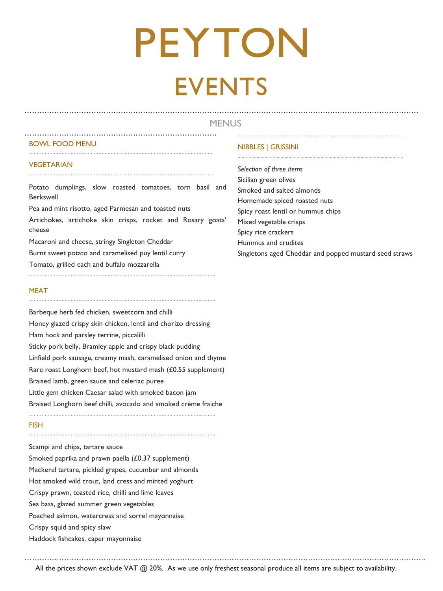### **MENUS** ................................................................................................................................................................

### BOWL FOOD MENU

### VEGETARIAN

Potato dumplings, slow roasted tomatoes, torn basil and Berkswell

.............................................................................. ...........................................................................................................................

.......................................................................................................................

........................................................................................................................

Pea and mint risotto, aged Parmesan and toasted nuts

Artichokes, artichoke skin crisps, rocket and Rosary goats' cheese

.........................................................................................................................

.........................................................................................................................

Macaroni and cheese, stringy Singleton Cheddar

Burnt sweet potato and caramelised puy lentil curry

Tomato, grilled each and buffalo mozzarella

### MEAT

Barbeque herb fed chicken, sweetcorn and chilli Honey glazed crispy skin chicken, lentil and chorizo dressing Ham hock and parsley terrine, piccalilli Sticky pork belly, Bramley apple and crispy black pudding Linfield pork sausage, creamy mash, caramelised onion and thyme Rare roast Longhorn beef, hot mustard mash (£0.55 supplement) Braised lamb, green sauce and celeriac puree Little gem chicken Caesar salad with smoked bacon jam Braised Longhorn beef chilli, avocado and smoked crème fraiche

### **FISH**

.........................................................................................................................

Scampi and chips, tartare sauce Smoked paprika and prawn paella (£0.37 supplement) Mackerel tartare, pickled grapes, cucumber and almonds Hot smoked wild trout, land cress and minted yoghurt Crispy prawn, toasted rice, chilli and lime leaves Sea bass, glazed summer green vegetables Poached salmon, watercress and sorrel mayonnaise Crispy squid and spicy slaw Haddock fishcakes, caper mayonnaise

### NIBBLES | GRISSINI

*Selection of three items*  Sicilian green olives Smoked and salted almonds Homemade spiced roasted nuts Spicy roast lentil or hummus chips Mixed vegetable crisps Spicy rice crackers Hummus and crudites Singletons aged Cheddar and popped mustard seed straws

............................................................................................................................

................................................................................................................................................................... All the prices shown exclude VAT @ 20%. As we use only freshest seasonal produce all items are subject to availability.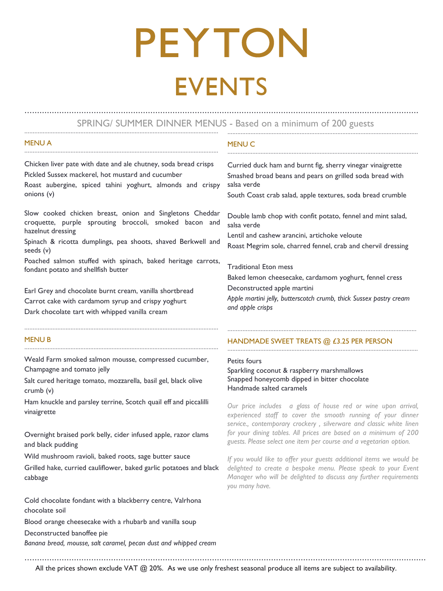### ...................................................................................................................... .................................................................................................................... SPRING/ SUMMER DINNER MENUS - Based on a minimum of 200 guests

................................................................................................................................................................

### MENU A

MENU C

Chicken liver pate with date and ale chutney, soda bread crisps Pickled Sussex mackerel, hot mustard and cucumber

......................................................................................................................

Roast aubergine, spiced tahini yoghurt, almonds and crispy onions (v)

Slow cooked chicken breast, onion and Singletons Cheddar croquette, purple sprouting broccoli, smoked bacon and hazelnut dressing

Spinach & ricotta dumplings, pea shoots, shaved Berkwell and seeds (v)

Poached salmon stuffed with spinach, baked heritage carrots, fondant potato and shellfish butter

Earl Grey and chocolate burnt cream, vanilla shortbread Carrot cake with cardamom syrup and crispy yoghurt Dark chocolate tart with whipped vanilla cream

### **MENUR**

......................................................................................................................

......................................................................................................................

Weald Farm smoked salmon mousse, compressed cucumber, Champagne and tomato jelly

Salt cured heritage tomato, mozzarella, basil gel, black olive crumb (v)

Ham knuckle and parsley terrine, Scotch quail eff and piccalilli vinaigrette

Overnight braised pork belly, cider infused apple, razor clams and black pudding

Wild mushroom ravioli, baked roots, sage butter sauce

Grilled hake, curried cauliflower, baked garlic potatoes and black cabbage

Cold chocolate fondant with a blackberry centre, Valrhona chocolate soil

Blood orange cheesecake with a rhubarb and vanilla soup

Deconstructed banoffee pie

*Banana bread, mousse, salt caramel, pecan dust and whipped cream*

Curried duck ham and burnt fig, sherry vinegar vinaigrette Smashed broad beans and pears on grilled soda bread with salsa verde

South Coast crab salad, apple textures, soda bread crumble

Double lamb chop with confit potato, fennel and mint salad, salsa verde

Lentil and cashew arancini, artichoke veloute Roast Megrim sole, charred fennel, crab and chervil dressing

Traditional Eton mess

Baked lemon cheesecake, cardamom yoghurt, fennel cress Deconstructed apple martini

*Apple martini jelly, butterscotch crumb, thick Sussex pastry cream and apple crisps*

...................................................................................................................

....................................................................................................................

### HANDMADE SWEET TREATS @ £3.25 PER PERSON

Petits fours

Sparkling coconut & raspberry marshmallows Snapped honeycomb dipped in bitter chocolate Handmade salted caramels

...................................................................................................................................................................

*Our price includes a glass of house red or wine upon arrival, experienced staff to cover the smooth running of your dinner service., contemporary crockery , silverware and classic white linen for your dining tables. All prices are based on a minimum of 200 guests. Please select one item per course and a vegetarian option.*

*If you would like to offer your guests additional items we would be delighted to create a bespoke menu. Please speak to your Event Manager who will be delighted to discuss any further requirements you many have.*

All the prices shown exclude VAT @ 20%. As we use only freshest seasonal produce all items are subject to availability.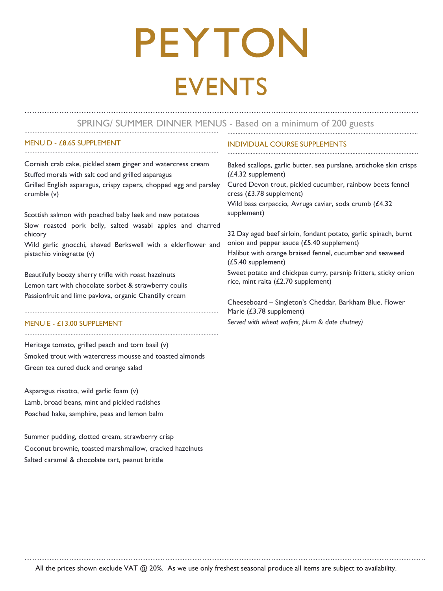### ...................................................................................................................... .................................................................................................................... SPRING/ SUMMER DINNER MENUS - Based on a minimum of 200 guests ................................................................................................................................................................

### MENU D - £8.65 SUPPLEMENT

Cornish crab cake, pickled stem ginger and watercress cream Stuffed morals with salt cod and grilled asparagus Grilled English asparagus, crispy capers, chopped egg and parsley crumble (v)

......................................................................................................................

Scottish salmon with poached baby leek and new potatoes Slow roasted pork belly, salted wasabi apples and charred chicory

Wild garlic gnocchi, shaved Berkswell with a elderflower and pistachio viniagrette (v)

......................................................................................................................

......................................................................................................................

Beautifully boozy sherry trifle with roast hazelnuts Lemon tart with chocolate sorbet & strawberry coulis Passionfruit and lime pavlova, organic Chantilly cream

### MENU E - £13.00 SUPPLEMENT

Heritage tomato, grilled peach and torn basil (v) Smoked trout with watercress mousse and toasted almonds Green tea cured duck and orange salad

Asparagus risotto, wild garlic foam (v) Lamb, broad beans, mint and pickled radishes Poached hake, samphire, peas and lemon balm

Summer pudding, clotted cream, strawberry crisp Coconut brownie, toasted marshmallow, cracked hazelnuts Salted caramel & chocolate tart, peanut brittle

### INDIVIDUAL COURSE SUPPLEMENTS

Baked scallops, garlic butter, sea purslane, artichoke skin crisps (£4.32 supplement)

Cured Devon trout, pickled cucumber, rainbow beets fennel cress (£3.78 supplement)

Wild bass carpaccio, Avruga caviar, soda crumb (£4.32 supplement)

....................................................................................................................

32 Day aged beef sirloin, fondant potato, garlic spinach, burnt onion and pepper sauce (£5.40 supplement)

Halibut with orange braised fennel, cucumber and seaweed (£5.40 supplement)

Sweet potato and chickpea curry, parsnip fritters, sticky onion rice, mint raita (£2.70 supplement)

Cheeseboard – Singleton's Cheddar, Barkham Blue, Flower Marie (£3.78 supplement) *Served with wheat wafers, plum & date chutney)*

All the prices shown exclude VAT @ 20%. As we use only freshest seasonal produce all items are subject to availability.

...................................................................................................................................................................